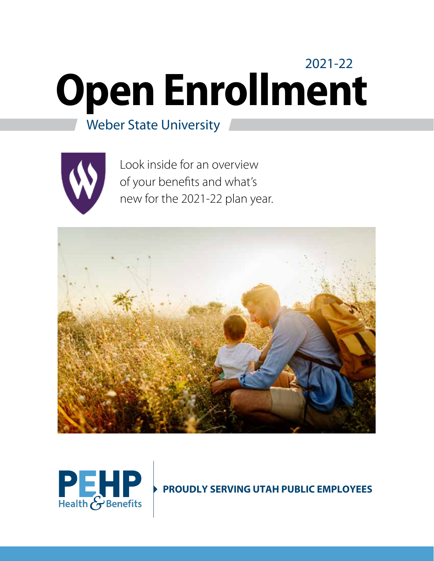# **Open Enrollment** 2021-22

# Weber State University



Look inside for an overview of your benefits and what's new for the 2021-22 plan year.





**PROUDLY SERVING UTAH PUBLIC EMPLOYEES**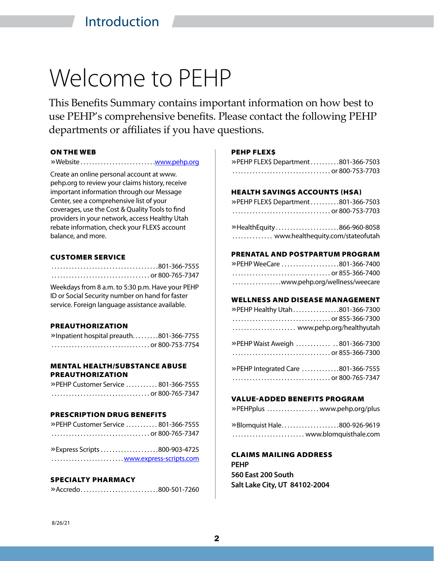# Welcome to PEHP

This Benefits Summary contains important information on how best to use PEHP's comprehensive benefits. Please contact the following PEHP departments or affiliates if you have questions.

### ON THE WEB

**»**Website . . . . . . . . . . . . . . . . . . . . . . . . . [www.pehp.org](http://)

Create an online personal account at www. pehp.org to review your claims history, receive important information through our Message Center, see a comprehensive list of your coverages, use the Cost & Quality Tools to find providers in your network, access Healthy Utah rebate information, check your FLEX\$ account balance, and more.

### CUSTOMER SERVICE

| 801-366-7555 |  |  |  |  |  |  |  |  |  |  |  |  |  |  |  |  |  |  |  |  |  |  |  |  |  |  |  |  |  |  |  |  |  |  |
|--------------|--|--|--|--|--|--|--|--|--|--|--|--|--|--|--|--|--|--|--|--|--|--|--|--|--|--|--|--|--|--|--|--|--|--|
|              |  |  |  |  |  |  |  |  |  |  |  |  |  |  |  |  |  |  |  |  |  |  |  |  |  |  |  |  |  |  |  |  |  |  |

Weekdays from 8 a.m. to 5:30 p.m. Have your PEHP ID or Social Security number on hand for faster service. Foreign language assistance available.

### PREAUTHORIZATION

**»**Inpatient hospital preauth . . . . . . . . 801-366-7755 .................................. or 800-753-7754

### MENTAL HEALTH/SUBSTANCE ABUSE PREAUTHORIZATION

**»**PEHP Customer Service . . . . . . . . . . . 801-366-7555 .................................. or 800-765-7347

### PRESCRIPTION DRUG BENEFITS

**»**PEHP Customer Service . . . . . . . . . . . 801-366-7555 .................................. or 800-765-7347

**»**Express Scripts . . . . . . . . . . . . . . . . . . . 800-903-4725 ................................<u>[www.express-scripts.com](http://www.express-scripts.com)</u>

### SPECIALTY PHARMACY

**»**Accredo . . . . . . . . . . . . . . . . . . . . . . . . . . 800-501-7260

### PEHP FLEX\$

| » PEHP FLEX\$ Department801-366-7503 |  |
|--------------------------------------|--|
|                                      |  |

### HEALTH SAVINGS ACCOUNTS (HSA)

| » PEHP FLEX\$ Department 801-366-7503 |  |
|---------------------------------------|--|
|                                       |  |
| »HealthEquity866-960-8058             |  |

.............. www.healthequity.com/stateofutah

### PRENATAL AND POSTPARTUM PROGRAM

| » PEHP WeeCare 801-366-7400   |  |
|-------------------------------|--|
|                               |  |
| www.pehp.org/wellness/weecare |  |

### WELLNESS AND DISEASE MANAGEMENT

| » PEHP Healthy Utah 801-366-7300 |  |
|----------------------------------|--|
|                                  |  |
| www.pehp.org/healthyutah         |  |

**»**PEHP Waist Aweigh . . . . . . . . . . . ... 801-366-7300 .................................. or 855-366-7300

| » PEHP Integrated Care 801-366-7555 |
|-------------------------------------|
|                                     |

### VALUE-ADDED BENEFITS PROGRAM

**»**PEHPplus . . . . . . . . . . . . . . . . . . www.pehp.org/plus

**»**Blomquist Hale . . . . . . . . . . . . . . . . . . . 800-926-9619 ......................... www.blomquisthale.com

CLAIMS MAILING ADDRESS **PEHP 560 East 200 South Salt Lake City, UT 84102-2004**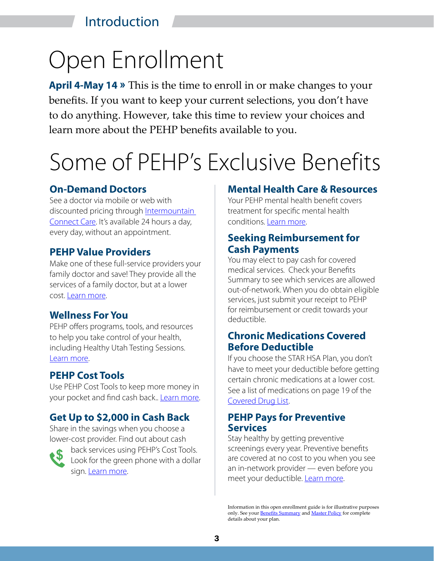# Introduction

# Open Enrollment

**April 4-May 14 »** This is the time to enroll in or make changes to your benefits. If you want to keep your current selections, you don't have to do anything. However, take this time to review your choices and learn more about the PEHP benefits available to you.

# Some of PEHP's Exclusive Benefits

## **On-Demand Doctors**

See a doctor via mobile or web with discounted pricing through [Intermountain](https://intermountainhealthcare.org/services/urgent-care/connect-care/)  [Connect Care](https://intermountainhealthcare.org/services/urgent-care/connect-care/). It's available 24 hours a day, every day, without an appointment.

## **PEHP Value Providers**

Make one of these full-service providers your family doctor and save! They provide all the services of a family doctor, but at a lower cost. [Learn more](https://www.pehp.org/valueproviders).

# **Wellness For You**

PEHP offers programs, tools, and resources to help you take control of your health, including Healthy Utah Testing Sessions. [Learn more](https://www.pehp.org/wellness).

# **PEHP Cost Tools**

Use PEHP Cost Tools to keep more money in your pocket and find cash back.. [Learn more.](http://www.pehp.org/save)

# **Get Up to \$2,000 in Cash Back**

Share in the savings when you choose a lower-cost provider. Find out about cash



back services using PEHP's Cost Tools. Look for the green phone with a dollar sign. [Learn more](https://www.pehp.org/save).

## **Mental Health Care & Resources**

Your PEHP mental health benefit covers treatment for specific mental health conditions. [Learn more](https://www.pehp.org/healthcaretopics).

## **Seeking Reimbursement for Cash Payments**

You may elect to pay cash for covered medical services. Check your Benefits Summary to see which services are allowed out-of-network. When you do obtain eligible services, just submit your receipt to PEHP for reimbursement or credit towards your deductible.

# **Chronic Medications Covered Before Deductible**

If you choose the STAR HSA Plan, you don't have to meet your deductible before getting certain chronic medications at a lower cost. See a list of medications on page 19 of the [Covered Drug List](http://www.pehp.org/pharmacy).

# **PEHP Pays for Preventive Services**

Stay healthy by getting preventive screenings every year. Preventive benefits are covered at no cost to you when you see an in-network provider — even before you meet your deductible. [Learn more](https://www.pehp.org/preventiveservices).

Information in this open enrollment guide is for illustrative purposes only. See your **Benefits Summary and Master Policy** for complete details about your plan.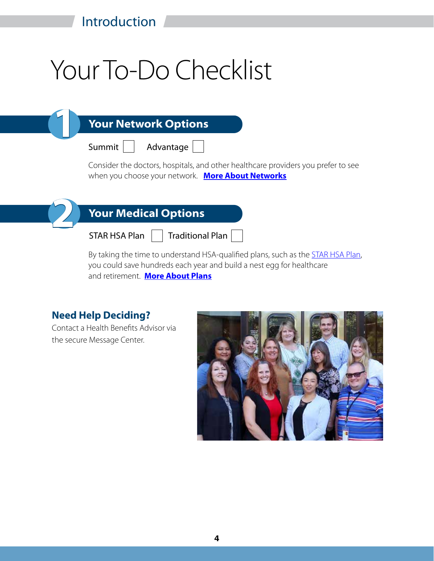# Your To-Do Checklist

# **Your Network Options**

Summit



Consider the doctors, hospitals, and other healthcare providers you prefer to see when you choose your network. **[More About Networks](#page-9-0)**



**1**

# **Your Medical Options**

STAR HSA Plan

Traditional Plan

By taking the time to understand HSA-qualified plans, such as the **STAR HSA Plan**, you could save hundreds each year and build a nest egg for healthcare and retirement. **[More About Plans](#page-4-0)**

# **Need Help Deciding?**

Contact a Health Benefits Advisor via the secure Message Center.

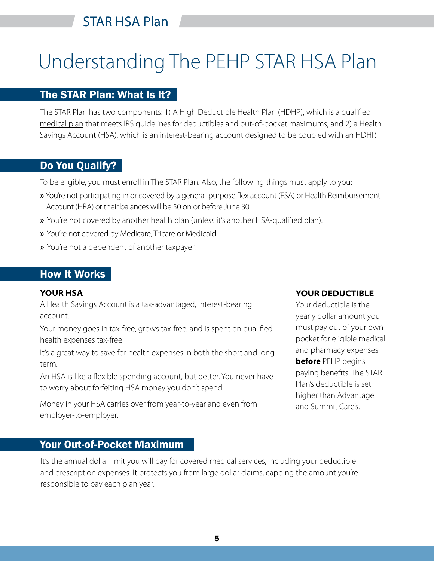# <span id="page-4-0"></span>Understanding The PEHP STAR HSA Plan

# The STAR Plan: What Is It?

The STAR Plan has two components: 1) A High Deductible Health Plan (HDHP), which is a qualified medical plan that meets IRS guidelines for deductibles and out-of-pocket maximums; and 2) a Health Savings Account (HSA), which is an interest-bearing account designed to be coupled with an HDHP.

# Do You Qualify?

To be eligible, you must enroll in The STAR Plan. Also, the following things must apply to you:

- » You're not participating in or covered by a general-purpose flex account (FSA) or Health Reimbursement Account (HRA) or their balances will be \$0 on or before June 30.
- » You're not covered by another health plan (unless it's another HSA-qualified plan).
- » You're not covered by Medicare, Tricare or Medicaid.
- » You're not a dependent of another taxpayer.

# **How It Works**

### **YOUR HSA**

A Health Savings Account is a tax-advantaged, interest-bearing account.

Your money goes in tax-free, grows tax-free, and is spent on qualified health expenses tax-free.

It's a great way to save for health expenses in both the short and long term.

An HSA is like a flexible spending account, but better. You never have to worry about forfeiting HSA money you don't spend.

Money in your HSA carries over from year-to-year and even from employer-to-employer.

## Your Out-of-Pocket Maximum

It's the annual dollar limit you will pay for covered medical services, including your deductible and prescription expenses. It protects you from large dollar claims, capping the amount you're responsible to pay each plan year.

### **YOUR DEDUCTIBLE**

Your deductible is the yearly dollar amount you must pay out of your own pocket for eligible medical and pharmacy expenses **before** PEHP begins paying benefits. The STAR Plan's deductible is set higher than Advantage and Summit Care's.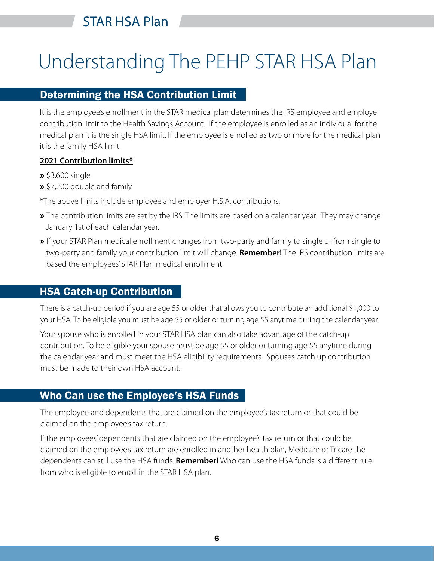# Understanding The PEHP STAR HSA Plan

# Determining the HSA Contribution Limit

It is the employee's enrollment in the STAR medical plan determines the IRS employee and employer contribution limit to the Health Savings Account. If the employee is enrolled as an individual for the medical plan it is the single HSA limit. If the employee is enrolled as two or more for the medical plan it is the family HSA limit.

### **2021 Contribution limits\***

- **»** \$3,600 single
- **»** \$7,200 double and family
- \*The above limits include employee and employer H.S.A. contributions.
- **»** The contribution limits are set by the IRS. The limits are based on a calendar year. They may change January 1st of each calendar year.
- **»** If your STAR Plan medical enrollment changes from two-party and family to single or from single to two-party and family your contribution limit will change. **Remember!** The IRS contribution limits are based the employees' STAR Plan medical enrollment.

# HSA Catch-up Contribution

There is a catch-up period if you are age 55 or older that allows you to contribute an additional \$1,000 to your HSA. To be eligible you must be age 55 or older or turning age 55 anytime during the calendar year.

Your spouse who is enrolled in your STAR HSA plan can also take advantage of the catch-up contribution. To be eligible your spouse must be age 55 or older or turning age 55 anytime during the calendar year and must meet the HSA eligibility requirements. Spouses catch up contribution must be made to their own HSA account.

# Who Can use the Employee's HSA Funds

The employee and dependents that are claimed on the employee's tax return or that could be claimed on the employee's tax return.

If the employees' dependents that are claimed on the employee's tax return or that could be claimed on the employee's tax return are enrolled in another health plan, Medicare or Tricare the dependents can still use the HSA funds. **Remember!** Who can use the HSA funds is a different rule from who is eligible to enroll in the STAR HSA plan.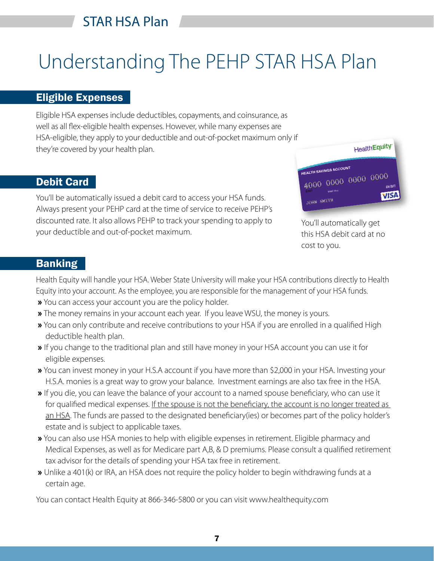# Understanding The PEHP STAR HSA Plan

## Eligible Expenses

Eligible HSA expenses include deductibles, copayments, and coinsurance, as well as all flex-eligible health expenses. However, while many expenses are HSA-eligible, they apply to your deductible and out-of-pocket maximum only if they're covered by your health plan.

# Debit Card

You'll be automatically issued a debit card to access your HSA funds. Always present your PEHP card at the time of service to receive PEHP's discounted rate. It also allows PEHP to track your spending to apply to your deductible and out-of-pocket maximum.



You'll automatically get this HSA debit card at no cost to you.

# **Banking**

Health Equity will handle your HSA. Weber State University will make your HSA contributions directly to Health Equity into your account. As the employee, you are responsible for the management of your HSA funds.

- **»** You can access your account you are the policy holder.
- **»** The money remains in your account each year. If you leave WSU, the money is yours.
- **»** You can only contribute and receive contributions to your HSA if you are enrolled in a qualified High deductible health plan.
- **»** If you change to the traditional plan and still have money in your HSA account you can use it for eligible expenses.
- **»** You can invest money in your H.S.A account if you have more than \$2,000 in your HSA. Investing your H.S.A. monies is a great way to grow your balance. Investment earnings are also tax free in the HSA.
- **»** If you die, you can leave the balance of your account to a named spouse beneficiary, who can use it for qualified medical expenses. If the spouse is not the beneficiary, the account is no longer treated as an HSA. The funds are passed to the designated beneficiary(ies) or becomes part of the policy holder's estate and is subject to applicable taxes.
- **»** You can also use HSA monies to help with eligible expenses in retirement. Eligible pharmacy and Medical Expenses, as well as for Medicare part A,B, & D premiums. Please consult a qualified retirement tax advisor for the details of spending your HSA tax free in retirement.
- **»** Unlike a 401(k) or IRA, an HSA does not require the policy holder to begin withdrawing funds at a certain age.

You can contact Health Equity at 866-346-5800 or you can visit www.healthequity.com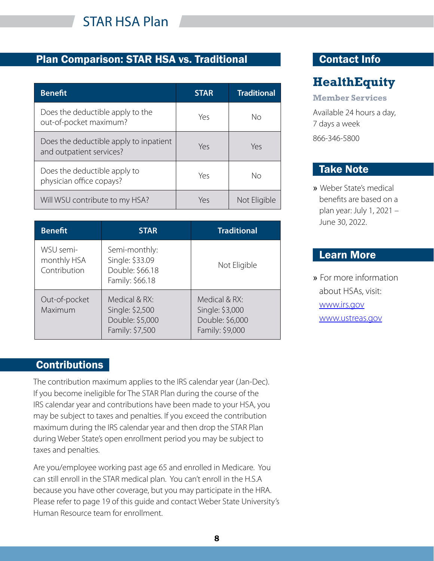

# Plan Comparison: STAR HSA vs. Traditional Contact Info

| <b>Benefit</b>                                                     | <b>STAR</b> | <b>Traditional</b> |
|--------------------------------------------------------------------|-------------|--------------------|
| Does the deductible apply to the<br>out-of-pocket maximum?         | Yes         | Nο                 |
| Does the deductible apply to inpatient<br>and outpatient services? | Yes         | Yes                |
| Does the deductible apply to<br>physician office copays?           | Yes         | Nο                 |
| Will WSU contribute to my HSA?                                     | Υρς         | Not Eligible       |

| <b>Benefit</b>                           | <b>STAR</b>                                                            | <b>Traditional</b>                                                     |
|------------------------------------------|------------------------------------------------------------------------|------------------------------------------------------------------------|
| WSU semi-<br>monthly HSA<br>Contribution | Semi-monthly:<br>Single: \$33.09<br>Double: \$66.18<br>Family: \$66.18 | Not Eligible                                                           |
| Out-of-pocket<br>Maximum                 | Medical & RX:<br>Single: \$2,500<br>Double: \$5,000<br>Family: \$7,500 | Medical & RX:<br>Single: \$3,000<br>Double: \$6,000<br>Family: \$9,000 |

# **Contributions**

The contribution maximum applies to the IRS calendar year (Jan-Dec). If you become ineligible for The STAR Plan during the course of the IRS calendar year and contributions have been made to your HSA, you may be subject to taxes and penalties. If you exceed the contribution maximum during the IRS calendar year and then drop the STAR Plan during Weber State's open enrollment period you may be subject to taxes and penalties.

Are you/employee working past age 65 and enrolled in Medicare. You can still enroll in the STAR medical plan. You can't enroll in the H.S.A because you have other coverage, but you may participate in the HRA. Please refer to page 19 of this guide and contact Weber State University's Human Resource team for enrollment.

# **HealthEquity**

**Member Services**

Available 24 hours a day, 7 days a week 866-346-5800

# Take Note

» Weber State's medical benefits are based on a plan year: July 1, 2021 – June 30, 2022.

# Learn More

» For more information about HSAs, visit: [www.irs.gov](http://www.irs.gov) [www.ustreas.gov](http://www.ustreas.gov)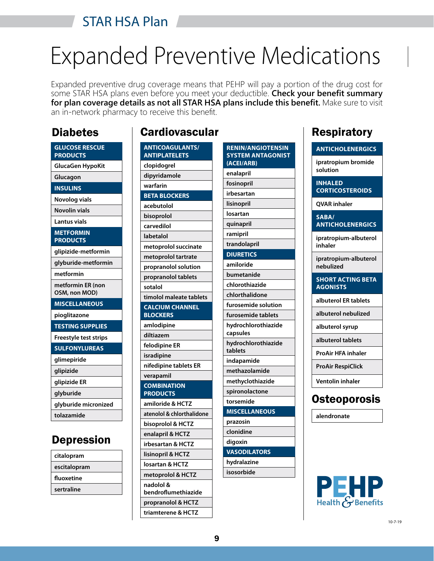# **Expanded Preventive Medicat** Expanded Preventive Medications

Expanded preventive drug coverage means that PEHP will pay a portion of the drug cost for some STAR HSA plans even before you meet your deductible. **Check your benefit summary for plan coverage details as not all STAR HSA plans include this benefit.** Make sure to visit an in-network pharmacy to receive this benefit.

# **Diabetes**

| <b>GLUCOSE RESCUE</b><br><b>PRODUCTS</b> |
|------------------------------------------|
| <b>GlucaGen HypoKit</b>                  |
| Glucagon                                 |
| <b>INSULINS</b>                          |
| Novolog vials                            |
| <b>Novolin vials</b>                     |
| <b>Lantus vials</b>                      |
| <b>METFORMIN</b><br><b>PRODUCTS</b>      |
| glipizide-metformin                      |
| glyburide-metformin                      |
| metformin                                |
| metformin ER (non<br>OSM, non MOD)       |
| <b>MISCELLANEOUS</b>                     |
| pioglitazone                             |
| <b>TESTING SUPPLIES</b>                  |
| <b>Freestyle test strips</b>             |
| <b>SULFONYLUREAS</b>                     |
| glimepiride                              |
| glipizide                                |
| glipizide ER                             |
| glyburide                                |
| glyburide micronized                     |
| tolazamide                               |

# Depression

| citalopram   |  |
|--------------|--|
| escitalopram |  |
| fluoxetine   |  |
| sertraline   |  |
|              |  |

# **Cardiovascular**

| <b>ANTICOAGULANTS/</b><br><b>ANTIPLATELETS</b> |
|------------------------------------------------|
| clopidogrel                                    |
| dipyridamole                                   |
| warfarin                                       |
| <b>BETA BLOCKERS</b>                           |
| acebutolol                                     |
| bisoprolol                                     |
| carvedilol                                     |
| labetalol                                      |
| metoprolol succinate                           |
| metoprolol tartrate                            |
| propranolol solution                           |
| propranolol tablets                            |
| sotalol                                        |
| timolol maleate tablets                        |
| <b>CALCIUM CHANNEL</b><br><b>BLOCKERS</b>      |
| amlodipine                                     |
| diltiazem                                      |
| felodipine ER                                  |
| isradipine                                     |
| nifedipine tablets ER                          |
| verapamil                                      |
| <b>COMBINATION</b><br><b>PRODUCTS</b>          |
| amiloride & HCTZ                               |
| atenolol & chlorthalidone                      |
| bisoprolol & HCTZ                              |
| enalapril & HCTZ                               |
| irbesartan & HCTZ                              |
| lisinopril & HCTZ                              |
| losartan & HCTZ                                |
| metoprolol & HCTZ                              |
| nadolol &                                      |
| bendroflumethiazide                            |
| propranolol & HCTZ                             |
| triamterene & HCTZ                             |

| <b>RENIN/ANGIOTENSIN</b><br><b>SYSTEM ANTAGONIST</b><br>(ACEI/ARB) |
|--------------------------------------------------------------------|
| enalapril                                                          |
| fosinopril                                                         |
| irbesartan                                                         |
| lisinopril                                                         |
| losartan                                                           |
| quinapril                                                          |
| ramipril                                                           |
| trandolapril                                                       |
| <b>DIURETICS</b>                                                   |
| amiloride                                                          |
| bumetanide                                                         |
| chlorothiazide                                                     |
| chlorthalidone                                                     |
| furosemide solution                                                |
| furosemide tablets                                                 |
| hydrochlorothiazide<br>capsules                                    |
| hydrochlorothiazide<br>tablets                                     |
| indapamide                                                         |
| methazolamide                                                      |
| methyclothiazide                                                   |
| spironolactone                                                     |
| torsemide                                                          |
| <b>MISCELLANEOUS</b>                                               |
| prazosin                                                           |
| clonidine                                                          |
| digoxin                                                            |
| <b>VASODILATORS</b>                                                |
| hydralazine                                                        |
| isosorbide                                                         |

# **Respiratory**

| <b>ANTICHOLENERGICS</b>                  |
|------------------------------------------|
| ipratropium bromide<br>solution          |
| <b>INHALED</b><br><b>CORTICOSTEROIDS</b> |
| <b>QVAR</b> inhaler                      |
| SABA/<br><b>ANTICHOLENERGICS</b>         |
| ipratropium-albuterol<br>inhaler         |
| ipratropium-albuterol<br>nebulized       |
| <b>SHORT ACTING BETA</b>                 |
| <b>AGONISTS</b>                          |
| albuterol ER tablets                     |
| albuterol nebulized                      |
| albuterol syrup                          |
| albuterol tablets                        |
| <b>ProAir HFA inhaler</b>                |
| ProAir RespiClick                        |
| <b>Ventolin inhaler</b>                  |





10-7-19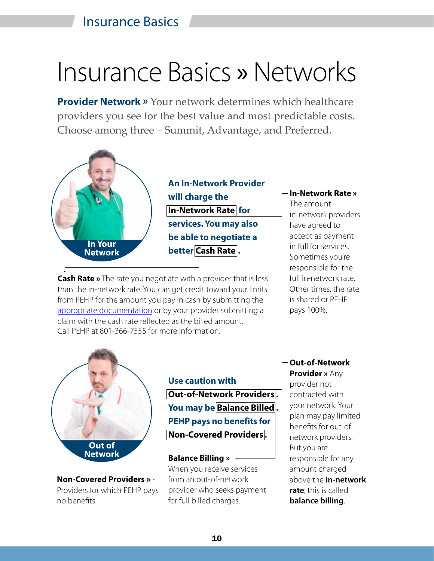# <span id="page-9-0"></span>Insurance Basics » Networks

**Provider Network »** Your network determines which healthcare providers you see for the best value and most predictable costs. Choose among three – Summit, Advantage, and Preferred.



**An In-Network Provider will charge the In-Network Rate for services. You may also be able to negotiate a better Cash Rate .**

**Cash Rate »** The rate you negotiate with a provider that is less than the in-network rate. You can get credit toward your limits from PEHP for the amount you pay in cash by submitting the [appropriate documentation](https://www.pehp.org/mango/pdf/pehp/pdc/self_pay_claims_FE7BA2F3.pdf) or by your provider submitting a claim with the cash rate reflected as the billed amount. Call PEHP at 801-366-7555 for more information.

**In-Network Rate »**

The amount in-network providers have agreed to accept as payment in full for services. Sometimes you're responsible for the full in-network rate. Other times, the rate is shared or PEHP pays 100%.



**Non-Covered Providers »**  Providers for which PEHP pays no benefits.

**Use caution with Out-of-Network Providers . You may be Balance Billed . PEHP pays no benefits for Non-Covered Providers .** 

### **Balance Billing »**

When you receive services from an out-of-network provider who seeks payment for full billed charges.

# **Out-of-Network**

**Provider »** Any provider not contracted with your network. Your plan may pay limited benefits for out-ofnetwork providers. But you are responsible for any amount charged above the **in-network rate**; this is called **balance billing**.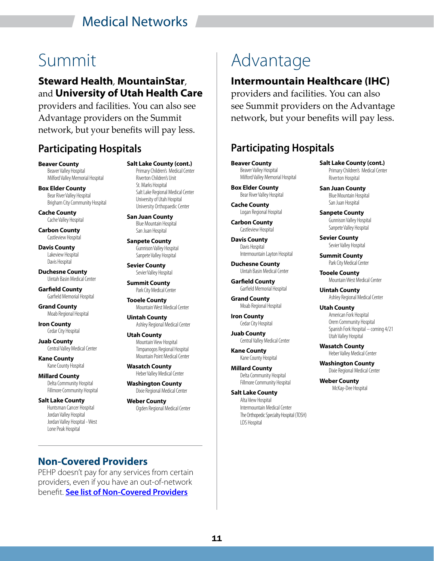# Medical Networks

## **Steward Health**, **MountainStar**, and **University of Utah Health Care**

providers and facilities. You can also see Advantage providers on the Summit network, but your benefits will pay less.

# **Participating Hospitals Participating Hospitals**

**Beaver County** Beaver Valley Hospital Milford Valley Memorial Hospital

**Box Elder County** Bear River Valley Hospital Brigham City Community Hospital

**Cache County** Cache Valley Hospital

**Carbon County** Castleview Hospital

**Davis County** Lakeview Hospital Davis Hospital

**Duchesne County** Uintah Basin Medical Center

**Garfield County** Garfield Memorial Hospital

**Grand County** Moab Regional Hospital

**Iron County** Cedar City Hospital

**Juab County** Central Valley Medical Center

**Kane County** Kane County Hospital

**Millard County** Delta Community Hospital Fillmore Community Hospital

**Salt Lake County** Huntsman Cancer Hospital Jordan Valley Hospital Jordan Valley Hospital - West Lone Peak Hospital

**Salt Lake County (cont.)** Primary Children's Medical Center Riverton Children's Unit St. Marks Hospital Salt Lake Regional Medical Center University of Utah Hospital University Orthopaedic Center

**San Juan County** Blue Mountain Hospital San Juan Hospital

**Sanpete County** Gunnison Valley Hospital Sanpete Valley Hospital

**Sevier County** Sevier Valley Hospital

**Summit County** Park City Medical Center

**Tooele County** Mountain West Medical Center

**Uintah County** Ashley Regional Medical Center

**Utah County** Mountain View Hospital Timpanogos Regional Hospital Mountain Point Medical Center

**Wasatch County** Heber Valley Medical Center

**Washington County** Dixie Regional Medical Center

**Weber County** Ogden Regional Medical Center

# Summit Advantage

# **Intermountain Healthcare (IHC)**

providers and facilities. You can also see Summit providers on the Advantage network, but your benefits will pay less.

**Beaver County** Beaver Valley Hospital Milford Valley Memorial Hospital

**Box Elder County** Bear River Valley Hospital

**Cache County** Logan Regional Hospital

**Carbon County** Castleview Hospital

**Davis County** Davis Hospital Intermountain Layton Hospital

**Duchesne County** Uintah Basin Medical Center

**Garfield County** Garfield Memorial Hospital

**Grand County** Moab Regional Hospital

**Iron County** Cedar City Hospital

**Juab County** Central Valley Medical Center

**Kane County** Kane County Hospital

**Millard County** Delta Community Hospital Fillmore Community Hospital

**Salt Lake County** Alta View Hospital Intermountain Medical Center The Orthopedic Specialty Hospital (TOSH) LDS Hospital

**Salt Lake County (cont.)** Primary Children's Medical Center Riverton Hospital

**San Juan County** Blue Mountain Hospital San Juan Hospital

**Sanpete County** Gunnison Valley Hospital Sanpete Valley Hospital

**Sevier County** Sevier Valley Hospital

**Summit County** Park City Medical Center

**Tooele County** Mountain West Medical Center

**Uintah County** Ashley Regional Medical Center

**Utah County** American Fork Hospital Orem Community Hospital Spanish Fork Hospital – coming 4/21 Utah Valley Hospital

**Wasatch County** Heber Valley Medical Center

**Washington County** Dixie Regional Medical Center

**Weber County** McKay-Dee Hospital

**Non-Covered Providers**

PEHP doesn't pay for any services from certain providers, even if you have an out-of-network benefit. **[See list of Non-Covered Providers](https://www.pehp.org/noncoveredproviders)**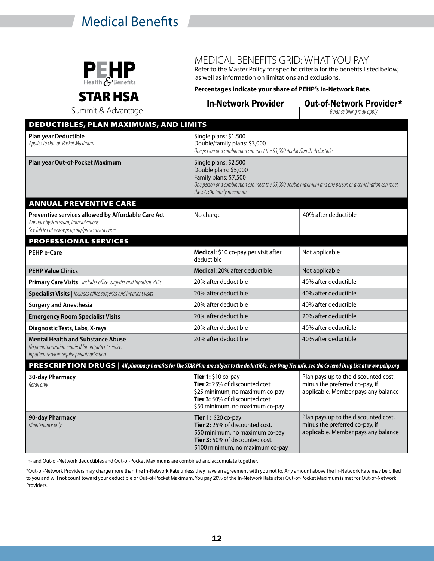# *Medical Benefits* **Gridden State University 2021-22 <b>»**



# MEDICAL BENEFITS GRID: WHAT YOU PAY

Refer to the Master Policy for specific criteria for the benefits listed below, as well as information on limitations and exclusions.

# STAR HSA

**Percentages indicate your share of PEHP's In-Network Rate.**

| ілін ізл<br>Summit & Advantage                                                                                                                            | <b>In-Network Provider</b>                                                                                                                                                                                        | Out-of-Network Provider*<br>Balance billing may apply                                                         |
|-----------------------------------------------------------------------------------------------------------------------------------------------------------|-------------------------------------------------------------------------------------------------------------------------------------------------------------------------------------------------------------------|---------------------------------------------------------------------------------------------------------------|
| <b>DEDUCTIBLES, PLAN MAXIMUMS, AND LIMITS</b>                                                                                                             |                                                                                                                                                                                                                   |                                                                                                               |
| <b>Plan year Deductible</b><br>Applies to Out-of-Pocket Maximum                                                                                           | Single plans: \$1,500<br>Double/family plans: \$3,000<br>One person or a combination can meet the \$3,000 double/family deductible                                                                                |                                                                                                               |
| Plan year Out-of-Pocket Maximum                                                                                                                           | Single plans: \$2,500<br>Double plans: \$5,000<br>Family plans: \$7,500<br>One person or a combination can meet the \$5,000 double maximum and one person or a combination can meet<br>the \$7,500 family maximum |                                                                                                               |
| <b>ANNUAL PREVENTIVE CARE</b>                                                                                                                             |                                                                                                                                                                                                                   |                                                                                                               |
| Preventive services allowed by Affordable Care Act<br>Annual physical exam, immunizations.<br>See full list at www.pehp.org/preventiveservices            | No charge                                                                                                                                                                                                         | 40% after deductible                                                                                          |
| <b>PROFESSIONAL SERVICES</b>                                                                                                                              |                                                                                                                                                                                                                   |                                                                                                               |
| PEHP e-Care                                                                                                                                               | Medical: \$10 co-pay per visit after<br>deductible                                                                                                                                                                | Not applicable                                                                                                |
| <b>PEHP Value Clinics</b>                                                                                                                                 | Medical: 20% after deductible                                                                                                                                                                                     | Not applicable                                                                                                |
| Primary Care Visits   Includes office surgeries and inpatient visits                                                                                      | 20% after deductible                                                                                                                                                                                              | 40% after deductible                                                                                          |
| Specialist Visits   Includes office surgeries and inpatient visits                                                                                        | 20% after deductible                                                                                                                                                                                              | 40% after deductible                                                                                          |
| <b>Surgery and Anesthesia</b>                                                                                                                             | 20% after deductible                                                                                                                                                                                              | 40% after deductible                                                                                          |
| <b>Emergency Room Specialist Visits</b>                                                                                                                   | 20% after deductible                                                                                                                                                                                              | 20% after deductible                                                                                          |
| Diagnostic Tests, Labs, X-rays                                                                                                                            | 20% after deductible                                                                                                                                                                                              | 40% after deductible                                                                                          |
| <b>Mental Health and Substance Abuse</b><br>No preauthorization required for outpatient service.<br>Inpatient services require preauthorization           | 20% after deductible                                                                                                                                                                                              | 40% after deductible                                                                                          |
| PRESCRIPTION DRUGS   All pharmacy benefits for The STAR Plan are subject to the deductible. For Drug Tier info, see the Covered Drug List at www.pehp.org |                                                                                                                                                                                                                   |                                                                                                               |
| 30-day Pharmacy<br>Retail only                                                                                                                            | Tier 1: \$10 co-pay<br>Tier 2: 25% of discounted cost.<br>\$25 minimum, no maximum co-pay<br>Tier 3: 50% of discounted cost.<br>\$50 minimum, no maximum co-pay                                                   | Plan pays up to the discounted cost,<br>minus the preferred co-pay, if<br>applicable. Member pays any balance |
| 90-day Pharmacy<br>Maintenance only                                                                                                                       | Tier 1: \$20 co-pay<br>Tier 2: 25% of discounted cost.<br>\$50 minimum, no maximum co-pay<br>Tier 3: 50% of discounted cost.<br>\$100 minimum, no maximum co-pay                                                  | Plan pays up to the discounted cost,<br>minus the preferred co-pay, if<br>applicable. Member pays any balance |

In- and Out-of-Network deductibles and Out-of-Pocket Maximums are combined and accumulate together.

\*Out-of-Network Providers may charge more than the In-Network Rate unless they have an agreement with you not to. Any amount above the In-Network Rate may be billed to you and will not count toward your deductible or Out-of-Pocket Maximum. You pay 20% of the In-Network Rate after Out-of-Pocket Maximum is met for Out-of-Network Providers.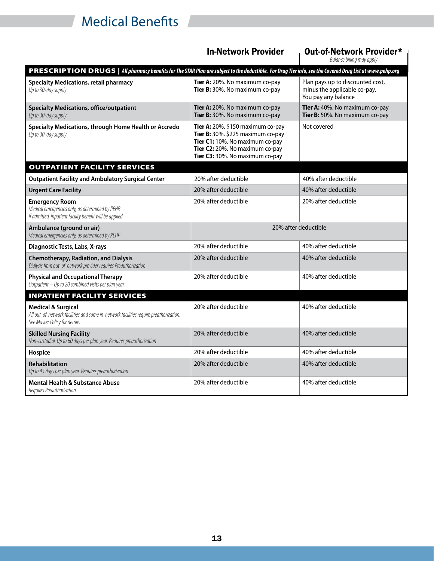# *Medical Benefits* **Gridden State University 2021-22 <b>»**

|                                                                                                                                                           | <b>In-Network Provider</b>                                                                                                                                                          | Out-of-Network Provider*<br>Balance billing may apply                                   |
|-----------------------------------------------------------------------------------------------------------------------------------------------------------|-------------------------------------------------------------------------------------------------------------------------------------------------------------------------------------|-----------------------------------------------------------------------------------------|
| PRESCRIPTION DRUGS   All pharmacy benefits for The STAR Plan are subject to the deductible. For Drug Tier info, see the Covered Drug List at www.pehp.org |                                                                                                                                                                                     |                                                                                         |
| <b>Specialty Medications, retail pharmacy</b><br>Up to 30-day supply                                                                                      | Tier A: 20%. No maximum co-pay<br>Tier B: 30%. No maximum co-pay                                                                                                                    | Plan pays up to discounted cost,<br>minus the applicable co-pay.<br>You pay any balance |
| <b>Specialty Medications, office/outpatient</b><br>Up to 30-day supply                                                                                    | Tier A: 20%. No maximum co-pay<br>Tier B: 30%. No maximum co-pay                                                                                                                    | Tier A: 40%. No maximum co-pay<br>Tier B: 50%. No maximum co-pay                        |
| Specialty Medications, through Home Health or Accredo<br>Up to 30-day supply                                                                              | Tier A: $20\%$ . \$150 maximum co-pay<br>Tier B: 30%. \$225 maximum co-pay<br>Tier C1: 10%. No maximum co-pay<br>Tier C2: 20%. No maximum co-pay<br>Tier C3: 30%. No maximum co-pay | Not covered                                                                             |
| <b>OUTPATIENT FACILITY SERVICES</b>                                                                                                                       |                                                                                                                                                                                     |                                                                                         |
| <b>Outpatient Facility and Ambulatory Surgical Center</b>                                                                                                 | 20% after deductible                                                                                                                                                                | 40% after deductible                                                                    |
| <b>Urgent Care Facility</b>                                                                                                                               | 20% after deductible                                                                                                                                                                | 40% after deductible                                                                    |
| <b>Emergency Room</b><br>Medical emergencies only, as determined by PEHP.<br>If admitted, inpatient facility benefit will be applied                      | 20% after deductible                                                                                                                                                                | 20% after deductible                                                                    |
| Ambulance (ground or air)<br>Medical emergencies only, as determined by PEHP                                                                              | 20% after deductible                                                                                                                                                                |                                                                                         |
| Diagnostic Tests, Labs, X-rays                                                                                                                            | 20% after deductible                                                                                                                                                                | 40% after deductible                                                                    |
| <b>Chemotherapy, Radiation, and Dialysis</b><br>Dialysis from out-of-network provider requires Preauthorization                                           | 20% after deductible                                                                                                                                                                | 40% after deductible                                                                    |
| <b>Physical and Occupational Therapy</b><br>Outpatient - Up to 20 combined visits per plan year.                                                          | 20% after deductible                                                                                                                                                                | 40% after deductible                                                                    |
| <b>INPATIENT FACILITY SERVICES</b>                                                                                                                        |                                                                                                                                                                                     |                                                                                         |
| <b>Medical &amp; Surgical</b><br>All out-of-network facilities and some in-network facilities require preathorization.<br>See Master Policy for details   | 20% after deductible                                                                                                                                                                | 40% after deductible                                                                    |
| <b>Skilled Nursing Facility</b><br>Non-custodial. Up to 60 days per plan year. Requires preauthorization                                                  | 20% after deductible                                                                                                                                                                | 40% after deductible                                                                    |
| Hospice                                                                                                                                                   | 20% after deductible                                                                                                                                                                | 40% after deductible                                                                    |
| <b>Rehabilitation</b><br>Up to 45 days per plan year. Requires preauthorization                                                                           | 20% after deductible                                                                                                                                                                | 40% after deductible                                                                    |
| Mental Health & Substance Abuse<br>Requires Preauthorization                                                                                              | 20% after deductible                                                                                                                                                                | 40% after deductible                                                                    |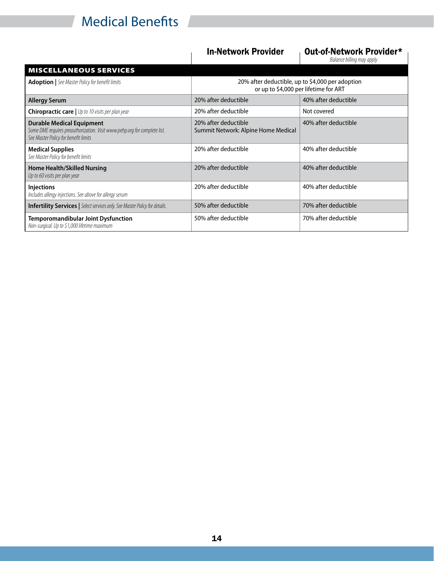# *Medical Benefits* **Gridden State University 2021-22 <b>»**

### In-Network Provider <sub>Dut-of-Network Provider\*</sub>

*Balance billing may apply*

| <b>MISCELLANEOUS SERVICES</b>                                                                                                                         |                                                                                           |                      |
|-------------------------------------------------------------------------------------------------------------------------------------------------------|-------------------------------------------------------------------------------------------|----------------------|
| <b>Adoption</b>   See Master Policy for benefit limits                                                                                                | 20% after deductible, up to \$4,000 per adoption<br>or up to \$4,000 per lifetime for ART |                      |
| <b>Allergy Serum</b>                                                                                                                                  | 20% after deductible                                                                      | 40% after deductible |
| <b>Chiropractic care   Up to 10 visits per plan year</b>                                                                                              | 20% after deductible                                                                      | Not covered          |
| <b>Durable Medical Equipment</b><br>Some DME requires preauthorization. Visit www.pehp.org for complete list.<br>See Master Policy for benefit limits | 20% after deductible<br>Summit Network: Alpine Home Medical                               | 40% after deductible |
| <b>Medical Supplies</b><br>See Master Policy for benefit limits                                                                                       | 20% after deductible                                                                      | 40% after deductible |
| <b>Home Health/Skilled Nursing</b><br>Up to 60 visits per plan year                                                                                   | 20% after deductible                                                                      | 40% after deductible |
| <b>Injections</b><br>Includes allergy injections. See above for allergy serum                                                                         | 20% after deductible                                                                      | 40% after deductible |
| <b>Infertility Services</b>   Select services only. See Master Policy for details.                                                                    | 50% after deductible                                                                      | 70% after deductible |
| <b>Temporomandibular Joint Dysfunction</b><br>Non-surgical. Up to \$1,000 lifetime maximum                                                            | 50% after deductible                                                                      | 70% after deductible |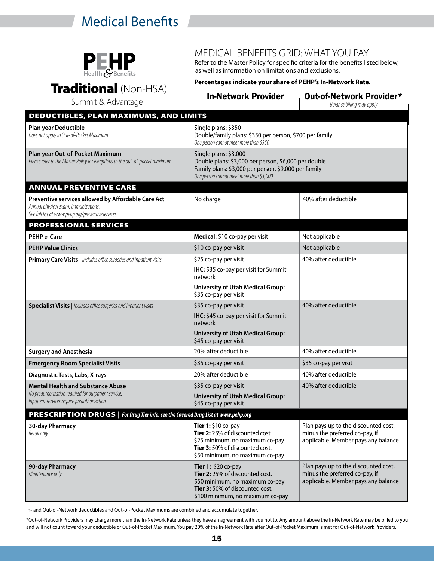# **Medical Benefits Gridden State University 2021-22**  $\bullet$  **9**



### MEDICAL BENEFITS GRID: WHAT YOU PAY

Refer to the Master Policy for specific criteria for the benefits listed below, as well as information on limitations and exclusions.

Traditional (Non-HSA)

### **Percentages indicate your share of PEHP's In-Network Rate.**

| Summit & Advantage                                                                                                                             | <b>In-Network Provider</b>                                                                                                                                                        | <b>Out-of-Network Provider*</b><br>Balance billing may apply                                                  |
|------------------------------------------------------------------------------------------------------------------------------------------------|-----------------------------------------------------------------------------------------------------------------------------------------------------------------------------------|---------------------------------------------------------------------------------------------------------------|
| DEDUCTIBLES, PLAN MAXIMUMS, AND LIMITS                                                                                                         |                                                                                                                                                                                   |                                                                                                               |
| Plan year Deductible<br>Does not apply to Out-of-Pocket Maximum                                                                                | Single plans: \$350<br>Double/family plans: \$350 per person, \$700 per family<br>One person cannot meet more than \$350                                                          |                                                                                                               |
| Plan year Out-of-Pocket Maximum<br>Please refer to the Master Policy for exceptions to the out-of-pocket maximum.                              | Single plans: \$3,000<br>Double plans: \$3,000 per person, \$6,000 per double<br>Family plans: \$3,000 per person, \$9,000 per family<br>One person cannot meet more than \$3,000 |                                                                                                               |
| <b>ANNUAL PREVENTIVE CARE</b>                                                                                                                  |                                                                                                                                                                                   |                                                                                                               |
| Preventive services allowed by Affordable Care Act<br>Annual physical exam, immunizations.<br>See full list at www.pehp.org/preventiveservices | No charge                                                                                                                                                                         | 40% after deductible                                                                                          |
| <b>PROFESSIONAL SERVICES</b>                                                                                                                   |                                                                                                                                                                                   |                                                                                                               |
| <b>PEHP e-Care</b>                                                                                                                             | Medical: \$10 co-pay per visit                                                                                                                                                    | Not applicable                                                                                                |
| <b>PEHP Value Clinics</b>                                                                                                                      | \$10 co-pay per visit                                                                                                                                                             | Not applicable                                                                                                |
| Primary Care Visits   Includes office surgeries and inpatient visits                                                                           | \$25 co-pay per visit                                                                                                                                                             | 40% after deductible                                                                                          |
|                                                                                                                                                | IHC: \$35 co-pay per visit for Summit<br>network                                                                                                                                  |                                                                                                               |
|                                                                                                                                                | <b>University of Utah Medical Group:</b><br>\$35 co-pay per visit                                                                                                                 |                                                                                                               |
| Specialist Visits   Includes office surgeries and inpatient visits                                                                             | \$35 co-pay per visit                                                                                                                                                             | 40% after deductible                                                                                          |
|                                                                                                                                                | IHC: \$45 co-pay per visit for Summit<br>network                                                                                                                                  |                                                                                                               |
|                                                                                                                                                | <b>University of Utah Medical Group:</b><br>\$45 co-pay per visit                                                                                                                 |                                                                                                               |
| <b>Surgery and Anesthesia</b>                                                                                                                  | 20% after deductible                                                                                                                                                              | 40% after deductible                                                                                          |
| <b>Emergency Room Specialist Visits</b>                                                                                                        | \$35 co-pay per visit                                                                                                                                                             | \$35 co-pay per visit                                                                                         |
| Diagnostic Tests, Labs, X-rays                                                                                                                 | 20% after deductible                                                                                                                                                              | 40% after deductible                                                                                          |
| <b>Mental Health and Substance Abuse</b>                                                                                                       | \$35 co-pay per visit                                                                                                                                                             | 40% after deductible                                                                                          |
| No preauthorization required for outpatient service.<br>Inpatient services require preauthorization                                            | <b>University of Utah Medical Group:</b><br>\$45 co-pay per visit                                                                                                                 |                                                                                                               |
| PRESCRIPTION DRUGS   For Drug Tier info, see the Covered Drug List at www.pehp.org                                                             |                                                                                                                                                                                   |                                                                                                               |
| 30-day Pharmacy<br>Retail only                                                                                                                 | Tier $1:$ \$10 co-pay<br>Tier 2: 25% of discounted cost.<br>\$25 minimum, no maximum co-pay<br>Tier 3: 50% of discounted cost.<br>\$50 minimum, no maximum co-pay                 | Plan pays up to the discounted cost,<br>minus the preferred co-pay, if<br>applicable. Member pays any balance |
| 90-day Pharmacy<br>Maintenance only                                                                                                            | Tier 1: \$20 co-pay<br>Tier 2: 25% of discounted cost.<br>\$50 minimum, no maximum co-pay<br>Tier 3: 50% of discounted cost.<br>\$100 minimum, no maximum co-pay                  | Plan pays up to the discounted cost,<br>minus the preferred co-pay, if<br>applicable. Member pays any balance |

In- and Out-of-Network deductibles and Out-of-Pocket Maximums are combined and accumulate together.

\*Out-of-Network Providers may charge more than the In-Network Rate unless they have an agreement with you not to. Any amount above the In-Network Rate may be billed to you and will not count toward your deductible or Out-of-Pocket Maximum. You pay 20% of the In-Network Rate after Out-of-Pocket Maximum is met for Out-of-Network Providers.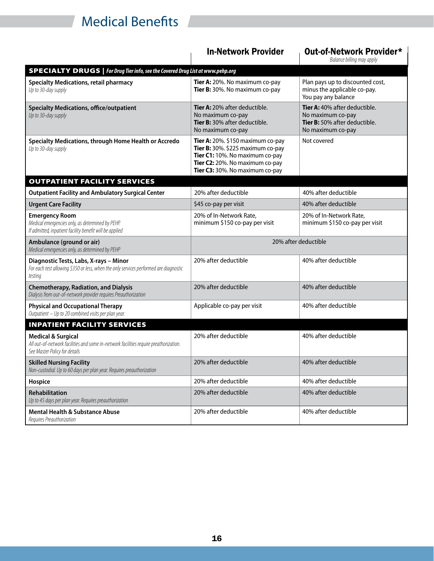# **Medical Benefits Gridden State University 2021-22**  $\bullet$  **9**

|                                                                                                                                                         | <b>In-Network Provider</b>                                                                                                                                                      | <b>Out-of-Network Provider*</b><br>Balance billing may apply                                             |
|---------------------------------------------------------------------------------------------------------------------------------------------------------|---------------------------------------------------------------------------------------------------------------------------------------------------------------------------------|----------------------------------------------------------------------------------------------------------|
| <b>SPECIALTY DRUGS</b>   For Drug Tier info, see the Covered Drug List at www.pehp.org                                                                  |                                                                                                                                                                                 |                                                                                                          |
| <b>Specialty Medications, retail pharmacy</b><br>Up to 30-day supply                                                                                    | Tier A: 20%. No maximum co-pay<br>Tier B: 30%. No maximum co-pay                                                                                                                | Plan pays up to discounted cost,<br>minus the applicable co-pay.<br>You pay any balance                  |
| <b>Specialty Medications, office/outpatient</b><br>Up to 30-day supply                                                                                  | Tier A: 20% after deductible.<br>No maximum co-pay<br>Tier B: 30% after deductible.<br>No maximum co-pay                                                                        | Tier A: 40% after deductible.<br>No maximum co-pay<br>Tier B: 50% after deductible.<br>No maximum co-pay |
| Specialty Medications, through Home Health or Accredo<br>Up to 30-day supply                                                                            | Tier A: 20%. \$150 maximum co-pay<br>Tier B: 30%. \$225 maximum co-pay<br>Tier C1: 10%. No maximum co-pay<br>Tier C2: 20%. No maximum co-pay<br>Tier C3: 30%. No maximum co-pay | Not covered                                                                                              |
| <b>OUTPATIENT FACILITY SERVICES</b>                                                                                                                     |                                                                                                                                                                                 |                                                                                                          |
| <b>Outpatient Facility and Ambulatory Surgical Center</b>                                                                                               | 20% after deductible                                                                                                                                                            | 40% after deductible                                                                                     |
| <b>Urgent Care Facility</b>                                                                                                                             | \$45 co-pay per visit                                                                                                                                                           | 40% after deductible                                                                                     |
| <b>Emergency Room</b><br>Medical emergencies only, as determined by PEHP.<br>If admitted, inpatient facility benefit will be applied                    | 20% of In-Network Rate,<br>minimum \$150 co-pay per visit                                                                                                                       | 20% of In-Network Rate,<br>minimum \$150 co-pay per visit                                                |
| Ambulance (ground or air)<br>Medical emergencies only, as determined by PEHP                                                                            | 20% after deductible                                                                                                                                                            |                                                                                                          |
| Diagnostic Tests, Labs, X-rays - Minor<br>For each test allowing \$350 or less, when the only services performed are diagnostic<br>testing              | 20% after deductible                                                                                                                                                            | 40% after deductible                                                                                     |
| <b>Chemotherapy, Radiation, and Dialysis</b><br>Dialysis from out-of-network provider requires Preauthorization                                         | 20% after deductible                                                                                                                                                            | 40% after deductible                                                                                     |
| <b>Physical and Occupational Therapy</b><br>Outpatient - Up to 20 combined visits per plan year.                                                        | Applicable co-pay per visit                                                                                                                                                     | 40% after deductible                                                                                     |
| <b>INPATIENT FACILITY SERVICES</b>                                                                                                                      |                                                                                                                                                                                 |                                                                                                          |
| <b>Medical &amp; Surgical</b><br>All out-of-network facilities and some in-network facilities require preathorization.<br>See Master Policy for details | 20% after deductible                                                                                                                                                            | 40% after deductible                                                                                     |
| <b>Skilled Nursing Facility</b><br>Non-custodial. Up to 60 days per plan year. Requires preauthorization                                                | 20% after deductible                                                                                                                                                            | 40% after deductible                                                                                     |
| Hospice                                                                                                                                                 | 20% after deductible                                                                                                                                                            | 40% after deductible                                                                                     |
| Rehabilitation<br>Up to 45 days per plan year. Requires preauthorization                                                                                | 20% after deductible                                                                                                                                                            | 40% after deductible                                                                                     |
| <b>Mental Health &amp; Substance Abuse</b><br>Requires Preauthorization                                                                                 | 20% after deductible                                                                                                                                                            | 40% after deductible                                                                                     |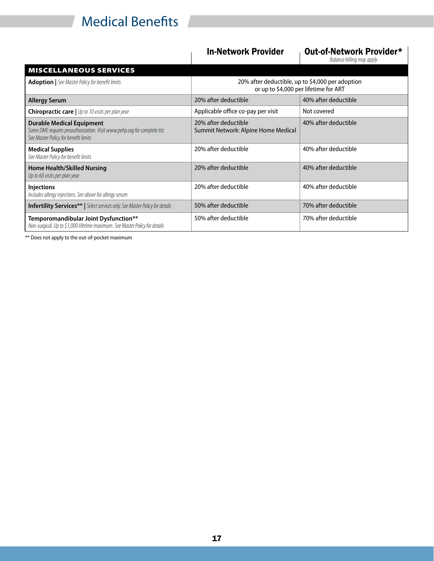# **Medical Benefits Gridden State University 2021-22**  $\bullet$  **9**

### In-Network Provider <sub>Dut-of-Network Provider\*</sub>

*Balance billing may apply*

| <b>MISCELLANEOUS SERVICES</b>                                                                                                                         |                                                                                           |                      |
|-------------------------------------------------------------------------------------------------------------------------------------------------------|-------------------------------------------------------------------------------------------|----------------------|
| <b>Adoption</b>   See Master Policy for benefit limits                                                                                                | 20% after deductible, up to \$4,000 per adoption<br>or up to \$4,000 per lifetime for ART |                      |
| <b>Allergy Serum</b>                                                                                                                                  | 20% after deductible                                                                      | 40% after deductible |
| <b>Chiropractic care   Up to 10 visits per plan year</b>                                                                                              | Applicable office co-pay per visit                                                        | Not covered          |
| <b>Durable Medical Equipment</b><br>Some DME requires preauthorization. Visit www.pehp.org for complete list.<br>See Master Policy for benefit limits | 20% after deductible<br>Summit Network: Alpine Home Medical                               | 40% after deductible |
| <b>Medical Supplies</b><br>See Master Policy for benefit limits                                                                                       | 20% after deductible                                                                      | 40% after deductible |
| <b>Home Health/Skilled Nursing</b><br>Up to 60 visits per plan year                                                                                   | 20% after deductible                                                                      | 40% after deductible |
| <b>Injections</b><br>Includes allergy injections. See above for allergy serum                                                                         | 20% after deductible                                                                      | 40% after deductible |
| <b>Infertility Services**</b>   Select services only. See Master Policy for details                                                                   | 50% after deductible                                                                      | 70% after deductible |
| Temporomandibular Joint Dysfunction**<br>Non-surgical. Up to \$1,000 lifetime maximum. See Master Policy for details                                  | 50% after deductible                                                                      | 70% after deductible |

\*\* Does not apply to the out-of-pocket maximum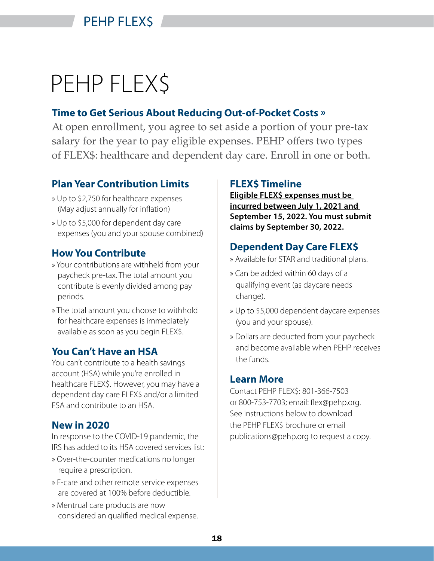# PEHP FLEX\$

# **Time to Get Serious About Reducing Out-of-Pocket Costs »**

At open enrollment, you agree to set aside a portion of your pre-tax salary for the year to pay eligible expenses. PEHP offers two types of FLEX\$: healthcare and dependent day care. Enroll in one or both.

# **Plan Year Contribution Limits**

- » Up to \$2,750 for healthcare expenses (May adjust annually for inflation)
- » Up to \$5,000 for dependent day care expenses (you and your spouse combined)

# **How You Contribute**

- » Your contributions are withheld from your paycheck pre-tax. The total amount you contribute is evenly divided among pay periods.
- » The total amount you choose to withhold for healthcare expenses is immediately available as soon as you begin FLEX\$.

# **You Can't Have an HSA**

You can't contribute to a health savings account (HSA) while you're enrolled in healthcare FLEX\$. However, you may have a dependent day care FLEX\$ and/or a limited FSA and contribute to an HSA.

# **New in 2020**

In response to the COVID-19 pandemic, the IRS has added to its HSA covered services list:

- » Over-the-counter medications no longer require a prescription.
- » E-care and other remote service expenses are covered at 100% before deductible.
- » Mentrual care products are now considered an qualified medical expense.

# **FLEX\$ Timeline**

**Eligible FLEX\$ expenses must be incurred between July 1, 2021 and September 15, 2022. You must submit claims by September 30, 2022.**

# **Dependent Day Care FLEX\$**

- » Available for STAR and traditional plans.
- » Can be added within 60 days of a qualifying event (as daycare needs change).
- » Up to \$5,000 dependent daycare expenses (you and your spouse).
- » Dollars are deducted from your paycheck and become available when PEHP receives the funds.

# **Learn More**

Contact PEHP FLEX\$: 801-366-7503 or 800-753-7703; email: flex@pehp.org. See instructions below to download the PEHP FLEX\$ brochure or email publications@pehp.org to request a copy.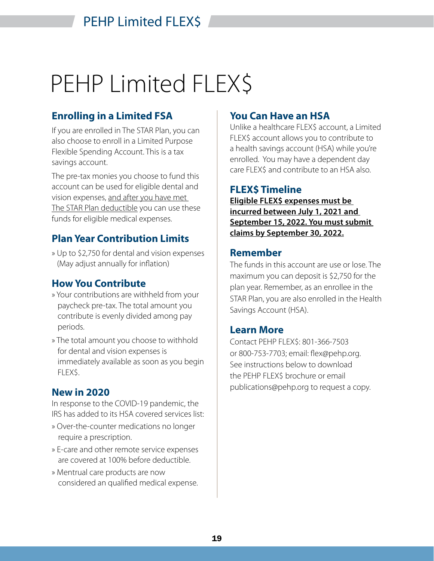# PEHP Limited FLEX\$

# **Enrolling in a Limited FSA**

If you are enrolled in The STAR Plan, you can also choose to enroll in a Limited Purpose Flexible Spending Account. This is a tax savings account.

The pre-tax monies you choose to fund this account can be used for eligible dental and vision expenses, and after you have met The STAR Plan deductible you can use these funds for eligible medical expenses.

# **Plan Year Contribution Limits**

» Up to \$2,750 for dental and vision expenses (May adjust annually for inflation)

# **How You Contribute**

- » Your contributions are withheld from your paycheck pre-tax. The total amount you contribute is evenly divided among pay periods.
- » The total amount you choose to withhold for dental and vision expenses is immediately available as soon as you begin FLEX\$

# **New in 2020**

In response to the COVID-19 pandemic, the IRS has added to its HSA covered services list:

- » Over-the-counter medications no longer require a prescription.
- » E-care and other remote service expenses are covered at 100% before deductible.
- » Mentrual care products are now considered an qualified medical expense.

# **You Can Have an HSA**

Unlike a healthcare FLEX\$ account, a Limited FLEX\$ account allows you to contribute to a health savings account (HSA) while you're enrolled. You may have a dependent day care FLEX\$ and contribute to an HSA also.

## **FLEX\$ Timeline**

**Eligible FLEX\$ expenses must be incurred between July 1, 2021 and September 15, 2022. You must submit claims by September 30, 2022.**

## **Remember**

The funds in this account are use or lose. The maximum you can deposit is \$2,750 for the plan year. Remember, as an enrollee in the STAR Plan, you are also enrolled in the Health Savings Account (HSA).

## **Learn More**

Contact PEHP FLEX\$: 801-366-7503 or 800-753-7703; email: flex@pehp.org. See instructions below to download the PEHP FLEX\$ brochure or email publications@pehp.org to request a copy.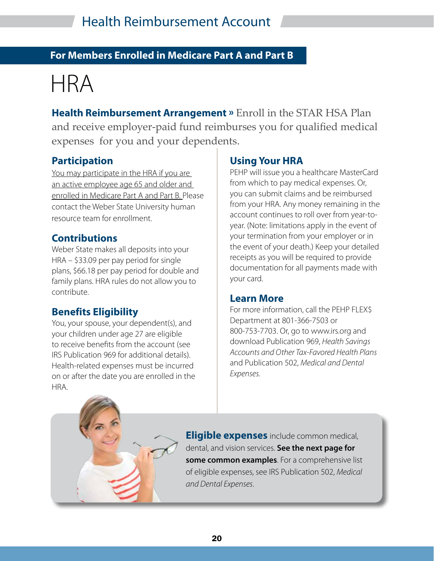# **For Members Enrolled in Medicare Part A and Part B**

# HRA

**Health Reimbursement Arrangement »** Enroll in the STAR HSA Plan and receive employer-paid fund reimburses you for qualified medical expenses for you and your dependents.

# **Participation**

You may participate in the HRA if you are an active employee age 65 and older and enrolled in Medicare Part A and Part B. Please contact the Weber State University human resource team for enrollment.

## **Contributions**

Weber State makes all deposits into your HRA – \$33.09 per pay period for single plans, \$66.18 per pay period for double and family plans. HRA rules do not allow you to contribute.

# **Benefits Eligibility**

You, your spouse, your dependent(s), and your children under age 27 are eligible to receive benefits from the account (see IRS Publication 969 for additional details). Health-related expenses must be incurred on or after the date you are enrolled in the HRA.

# **Using Your HRA**

PEHP will issue you a healthcare MasterCard from which to pay medical expenses. Or, you can submit claims and be reimbursed from your HRA. Any money remaining in the account continues to roll over from year-toyear. (Note: limitations apply in the event of your termination from your employer or in the event of your death.) Keep your detailed receipts as you will be required to provide documentation for all payments made with your card.

### **Learn More**

For more information, call the PEHP FLEX\$ Department at 801-366-7503 or 800-753-7703. Or, go to www.irs.org and download Publication 969, *Health Savings Accounts and Other Tax-Favored Health Plans* and Publication 502, *Medical and Dental Expenses.*

**Eligible expenses** include common medical, dental, and vision services. **See the next page for some common examples**. For a comprehensive list of eligible expenses, see IRS Publication 502, *Medical and Dental Expenses*.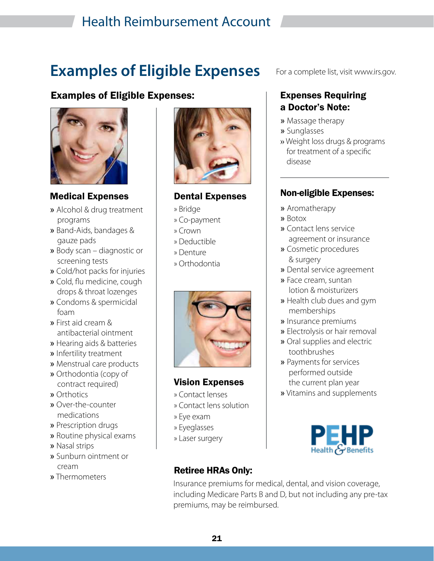# Health Reimbursement Account

# **Examples of Eligible Expenses**

# Examples of Eligible Expenses: Expenses Requiring



Medical Expenses

- » Alcohol & drug treatment programs
- » Band-Aids, bandages & gauze pads
- » Body scan diagnostic or screening tests
- » Cold/hot packs for injuries
- » Cold, flu medicine, cough drops & throat lozenges
- » Condoms & spermicidal foam
- » First aid cream & antibacterial ointment
- » Hearing aids & batteries
- » Infertility treatment
- » Menstrual care products
- » Orthodontia (copy of contract required)
- » Orthotics
- » Over-the-counter medications
- » Prescription drugs
- » Routine physical exams
- » Nasal strips
- » Sunburn ointment or cream
- » Thermometers



## Dental Expenses

- » Bridge
- » Co-payment
- » Crown
- » Deductible
- » Denture
- » Orthodontia



## Vision Expenses

- » Contact lenses
- » Contact lens solution
- » Eye exam
- » Eyeglasses
- » Laser surgery

### For a complete list, visit www.irs.gov.

# a Doctor's Note:

- » Massage therapy
- » Sunglasses
- » Weight loss drugs & programs for treatment of a specific disease

## Non-eligible Expenses:

- » Aromatherapy
- » Botox
- » Contact lens service agreement or insurance
- » Cosmetic procedures & surgery
- » Dental service agreement
- » Face cream, suntan lotion & moisturizers
- » Health club dues and gym memberships
- » Insurance premiums
- » Electrolysis or hair removal
- » Oral supplies and electric toothbrushes
- » Payments for services performed outside the current plan year
- » Vitamins and supplements



# Retiree HRAs Only:

Insurance premiums for medical, dental, and vision coverage, including Medicare Parts B and D, but not including any pre-tax premiums, may be reimbursed.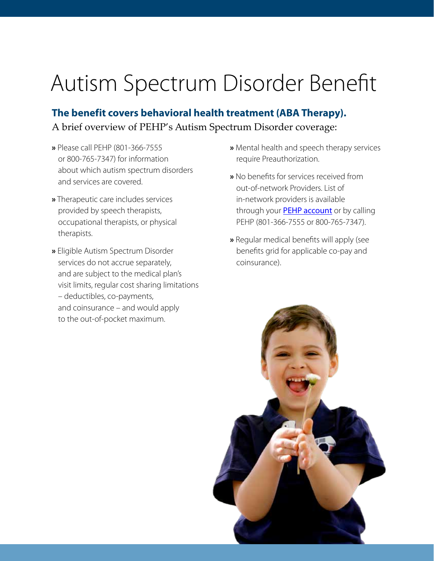# Autism Spectrum Disorder Benefit

**The benefit covers behavioral health treatment (ABA Therapy).** A brief overview of PEHP's Autism Spectrum Disorder coverage:

- **»** Please call PEHP (801-366-7555 or 800-765-7347) for information about which autism spectrum disorders and services are covered.
- **»** Therapeutic care includes services provided by speech therapists, occupational therapists, or physical therapists.
- **»** Eligible Autism Spectrum Disorder services do not accrue separately, and are subject to the medical plan's visit limits, regular cost sharing limitations – deductibles, co-payments, and coinsurance – and would apply to the out-of-pocket maximum.
- **»** Mental health and speech therapy services require Preauthorization.
- **»** No benefits for services received from out-of-network Providers. List of in-network providers is available through your **[PEHP account](https://www.pehp.org/MyPehp/Account/LogOn)** or by calling PEHP (801-366-7555 or 800-765-7347).
- **»** Regular medical benefits will apply (see benefits grid for applicable co-pay and coinsurance).

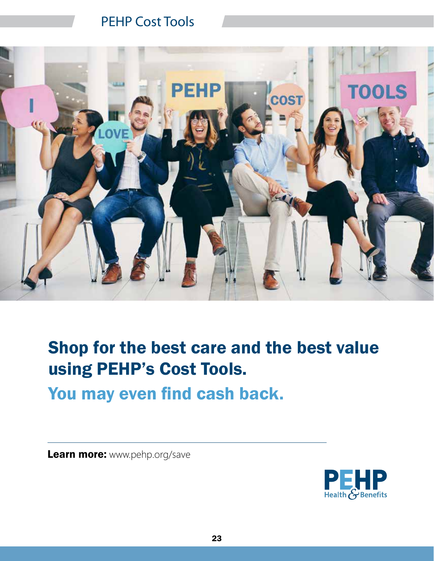# PEHP Cost Tools



# Shop for the best care and the best value using PEHP's Cost Tools.

You may even find cash back.

Learn more: www.pehp.org/save